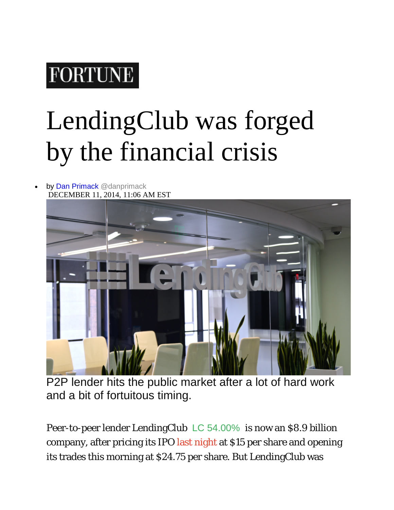## **FORTUNE**

## LendingClub was forged by the financial crisis

## by [Dan Primack](http://fortune.com/author/dan-primack/) [@danprimack](https://twitter.com/danprimack) DECEMBER 11, 2014, 11:06 AM EST



P2P lender hits the public market after a lot of hard work and a bit of fortuitous timing.

Peer-to-peer lender LendingClub [LC](http://fortune.com/company/lc/) 54.00% is now an \$8.9 billion company, after pricing its IPO [last night](http://fortune.com/2014/12/10/online-peer-to-peer-banker-lendingclubs-ipo-priced-at-15shr/) at \$15 per share and opening its trades this morning at \$24.75 per share. But LendingClub was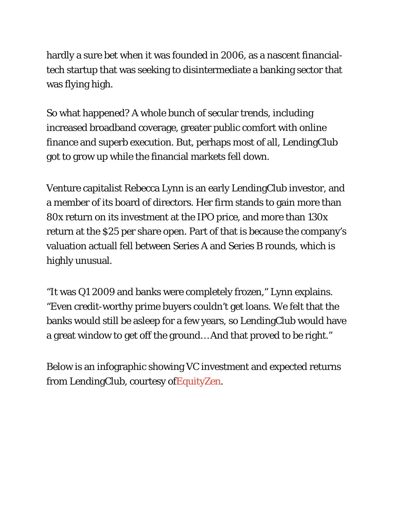hardly a sure bet when it was founded in 2006, as a nascent financialtech startup that was seeking to disintermediate a banking sector that was flying high.

So what happened? A whole bunch of secular trends, including increased broadband coverage, greater public comfort with online finance and superb execution. But, perhaps most of all, LendingClub got to grow up while the financial markets fell down.

Venture capitalist Rebecca Lynn is an early LendingClub investor, and a member of its board of directors. Her firm stands to gain more than 80x return on its investment at the IPO price, and more than 130x return at the \$25 per share open. Part of that is because the company's valuation actuall fell between Series A and Series B rounds, which is highly unusual.

"It was Q1 2009 and banks were completely frozen," Lynn explains. "Even credit-worthy prime buyers couldn't get loans. We felt that the banks would still be asleep for a few years, so LendingClub would have a great window to get off the ground… And that proved to be right."

Below is an infographic showing VC investment and expected returns from LendingClub, courtesy o[fEquityZen.](http://www.equityzen.com/)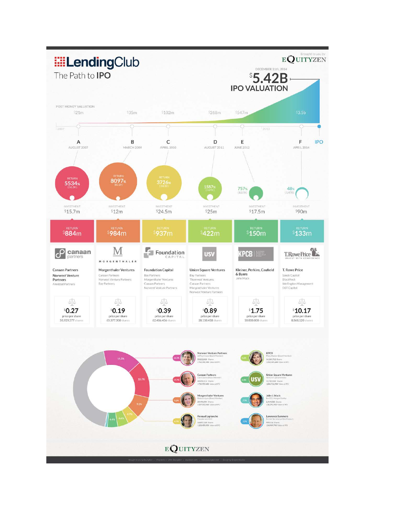